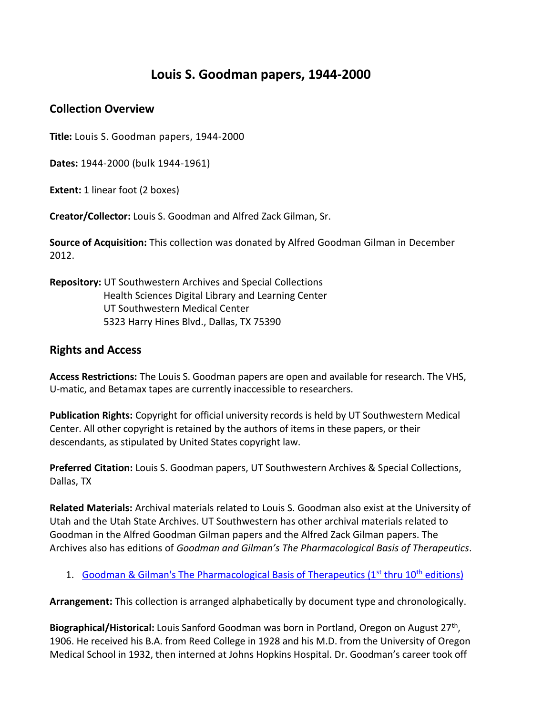# **Louis S. Goodman papers, 1944-2000**

## **Collection Overview**

**Title:** Louis S. Goodman papers, 1944-2000

**Dates:** 1944-2000 (bulk 1944-1961)

**Extent:** 1 linear foot (2 boxes)

**Creator/Collector:** Louis S. Goodman and Alfred Zack Gilman, Sr.

**Source of Acquisition:** This collection was donated by Alfred Goodman Gilman in December 2012.

**Repository:** UT Southwestern Archives and Special Collections Health Sciences Digital Library and Learning Center UT Southwestern Medical Center 5323 Harry Hines Blvd., Dallas, TX 75390

## **Rights and Access**

**Access Restrictions:** The Louis S. Goodman papers are open and available for research. The VHS, U-matic, and Betamax tapes are currently inaccessible to researchers.

**Publication Rights:** Copyright for official university records is held by UT Southwestern Medical Center. All other copyright is retained by the authors of items in these papers, or their descendants, as stipulated by United States copyright law.

**Preferred Citation:** Louis S. Goodman papers, UT Southwestern Archives & Special Collections, Dallas, TX

**Related Materials:** Archival materials related to Louis S. Goodman also exist at the University of Utah and the Utah State Archives. UT Southwestern has other archival materials related to Goodman in the Alfred Goodman Gilman papers and the Alfred Zack Gilman papers. The Archives also has editions of *Goodman and Gilman's The Pharmacological Basis of Therapeutics*.

1. Goodman & Gilman's The Pharmacological Basis of Therapeutics ( $1<sup>st</sup>$  thru  $10<sup>th</sup>$  editions)

**Arrangement:** This collection is arranged alphabetically by document type and chronologically.

Biographical/Historical: Louis Sanford Goodman was born in Portland, Oregon on August 27<sup>th</sup>, 1906. He received his B.A. from Reed College in 1928 and his M.D. from the University of Oregon Medical School in 1932, then interned at Johns Hopkins Hospital. Dr. Goodman's career took off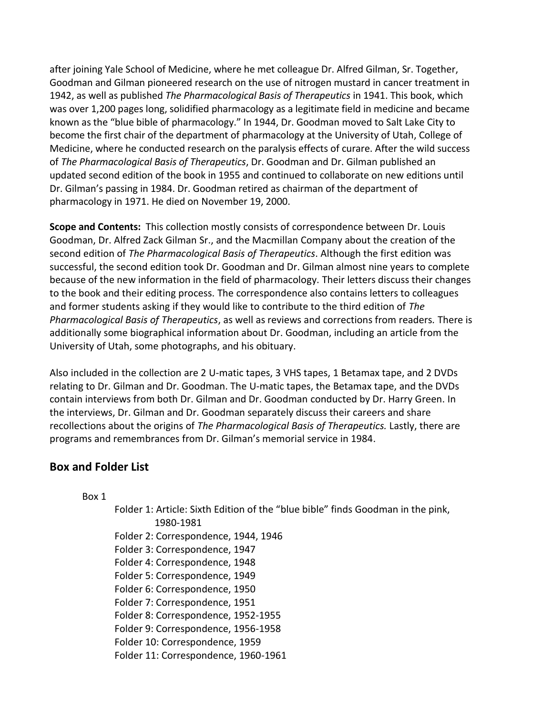after joining Yale School of Medicine, where he met colleague Dr. Alfred Gilman, Sr. Together, Goodman and Gilman pioneered research on the use of nitrogen mustard in cancer treatment in 1942, as well as published *The Pharmacological Basis of Therapeutics* in 1941. This book, which was over 1,200 pages long, solidified pharmacology as a legitimate field in medicine and became known as the "blue bible of pharmacology." In 1944, Dr. Goodman moved to Salt Lake City to become the first chair of the department of pharmacology at the University of Utah, College of Medicine, where he conducted research on the paralysis effects of curare. After the wild success of *The Pharmacological Basis of Therapeutics*, Dr. Goodman and Dr. Gilman published an updated second edition of the book in 1955 and continued to collaborate on new editions until Dr. Gilman's passing in 1984. Dr. Goodman retired as chairman of the department of pharmacology in 1971. He died on November 19, 2000.

**Scope and Contents:** This collection mostly consists of correspondence between Dr. Louis Goodman, Dr. Alfred Zack Gilman Sr., and the Macmillan Company about the creation of the second edition of *The Pharmacological Basis of Therapeutics*. Although the first edition was successful, the second edition took Dr. Goodman and Dr. Gilman almost nine years to complete because of the new information in the field of pharmacology. Their letters discuss their changes to the book and their editing process. The correspondence also contains letters to colleagues and former students asking if they would like to contribute to the third edition of *The Pharmacological Basis of Therapeutics*, as well as reviews and corrections from readers*.* There is additionally some biographical information about Dr. Goodman, including an article from the University of Utah, some photographs, and his obituary.

Also included in the collection are 2 U-matic tapes, 3 VHS tapes, 1 Betamax tape, and 2 DVDs relating to Dr. Gilman and Dr. Goodman. The U-matic tapes, the Betamax tape, and the DVDs contain interviews from both Dr. Gilman and Dr. Goodman conducted by Dr. Harry Green. In the interviews, Dr. Gilman and Dr. Goodman separately discuss their careers and share recollections about the origins of *The Pharmacological Basis of Therapeutics.* Lastly, there are programs and remembrances from Dr. Gilman's memorial service in 1984.

#### **Box and Folder List**

Box 1

Folder 1: Article: Sixth Edition of the "blue bible" finds Goodman in the pink, 1980-1981 Folder 2: Correspondence, 1944, 1946 Folder 3: Correspondence, 1947 Folder 4: Correspondence, 1948 Folder 5: Correspondence, 1949 Folder 6: Correspondence, 1950 Folder 7: Correspondence, 1951 Folder 8: Correspondence, 1952-1955 Folder 9: Correspondence, 1956-1958 Folder 10: Correspondence, 1959 Folder 11: Correspondence, 1960-1961